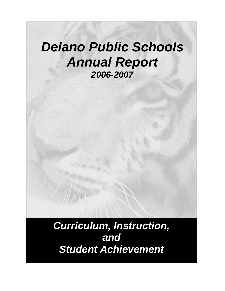# *Delano Public Schools Annual Report 2006-2007*

*Curriculum, Instruction, and Student Achievement*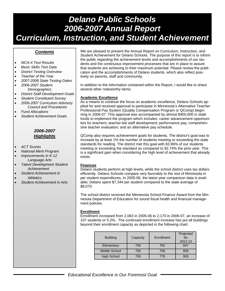# *Delano Public Schools 2006-2007 Annual Report Curriculum, Instruction, and Student Achievement*

## *Contents*

- *MCA-II Test Results*
- *Basic Skills Test Data*
- *District Testing Overview*
- *Teacher of the Year*
- *2007-2008 State Testing Dates*
- *2006-2007 Student Demographics*
- *District Staff Development Goals*
- *Student Constituent Survey*
- *2006-2007 Curriculum Advisory Council and Procedures*
- *Fund Allocations*
- *Student Achievement Goals*

## *2006-2007 Highlights*

- *ACT Scores*
- *National Merit Program*
- *Improvements in K-12 Language Arts*
- *Talent Development Student Achievement*
- *Student Achievement in*
- *Athletics*
- *Student Achievement in Arts*

We are pleased to present the Annual Report on Curriculum, Instruction, and Student Achievement for Delano Schools. The purpose of this report is to inform the public regarding the achievement levels and accomplishments of our students and the continuous improvement processes that are in place to assure that students are achieving to their maximum potential. Please review the publication and the accomplishments of Delano students, which also reflect positively on parents, staff and community.

In addition to the information contained within the Report, I would like to share several other noteworthy items:

## **Academic Excellence**

As a means to continue the focus on academic excellence, Delano Schools applied for and received approval to participate in Minnesota's Alternative Teacher Professional Pay System (Quality Compensation Program or QComp) beginning in 2006-07. This approval was accompanied by almost \$400,000 in state funds to implement the program which includes: career advancement opportunities for teachers; teacher-led staff development; performance pay; comprehensive teacher evaluation; and an alternative pay schedule.

QComp also requires achievement goals for students. The district's goal was to increase by at least 1% the number of students meeting or exceeding the state standards for reading. The district met this goal with 83.96% of our students meeting or exceeding the standard as compared to 82.74% the prior year. This is a significant gain when considering the high level of achievement that already exists.

## **Finances**

Delano students perform at high levels, while the school district uses tax dollars efficiently. Delano Schools compare very favorably to the rest of Minnesota in per student expenditures. In 2005-06, the latest year comparison data is available; Delano spent \$7,344 per student compared to the state average of \$9,070.

The school district received the Minnesota School Finance Award from the Minnesota Department of Education for sound fiscal health and financial management policies.

## **Enrollment**

Enrollment increased from 2,063 in 2005-06 to 2,170 in 2006-07, an increase of 107 students or 5.2%. The continued enrollment increase has put all buildings beyond their enrollment capacity as depicted in the following chart:

| <b>Building</b>      | Capacity | Enrollment | Projected<br>for<br>2012-13 |
|----------------------|----------|------------|-----------------------------|
| Elementary           | 750      | 762        | 847                         |
| <b>Middle School</b> | 700      | 708        | 808                         |
| <b>High School</b>   | 700      | 778        | 903                         |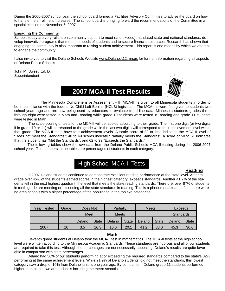During the 2006-2007 school year the school board formed a Facilities Advisory Committee to advise the board on how to handle the enrollment increases. The school board is bringing forward the recommendations of the Committee in a special election on November 6, 2007.

### **Engaging the Community**

Schools today are very reliant on community support to meet (and exceed) mandated state and national standards, develop innovative programs that meet the needs of students and to secure financial resources. Research has shown that engaging the community is also important to raising student achievement. This report is one means by which we attempt to engage the community.

I also invite you to visit the Delano Schools Website www.Delano.k12.mn.us for further information regarding all aspects of Delano Public Schools.

John M. Sweet, Ed. D. **Superintendent** 

# **2007 MCA-II Test Results**



 The Minnesota Comprehensive Assessment – II (MCA-II) is given to all Minnesota students in order to be in compliance with the federal No Child Left Behind (NCLB) legislation. The MCA-II's were first given to students two school years ago and are now being used by educators to evaluate trend line data. Minnesota students grades three through eight were tested in Math and Reading while grade 10 students were tested in Reading and grade 11 students were tested in Math.

 The scale scoring of tests for the MCA-II will be labeled according to their grade. The first one digit (or two digits if in grade 10 or 11) will correspond to the grade while the last two digits will correspond to their achievement level within that grade. The MCA-II tests have four achievement levels. A scale score of 39 or less indicates the MCA-II level of "Does not meet the Standards"; 40 to 49 scores indicate "Partially meets the Standards"; a score of 50 to 61 indicates that the student has "Met the Standards"; and 62 to 99 "Exceeds the Standards."

 The following tables show the raw data from the Delano Public Schools MCA-II testing during the 2006-2007 school year. The numbers in the tables are percentages of students in each category.

# High School MCA-II Tests

#### **Reading Reading**

 In 2007 Delano students continued to demonstrate excellent reading performance at the state level. At tenth grade over 45% of the students earned scores in the highest category, exceeds standards. Another 41.2% of the students fell in the next highest quadrant, the level that meets the state reading standards. Therefore, over 87% of students in tenth grade are meeting or exceeding all the state standards in reading. This is a phenomenal feat. In fact, there were no area schools with a higher percentage of the population in the top two categories.

| Year Tested | Grade | Does Not |              | Partially    |              | <b>Meets</b> |              | Exceeds   |              |
|-------------|-------|----------|--------------|--------------|--------------|--------------|--------------|-----------|--------------|
|             |       | Meet     |              | <b>Meets</b> |              |              |              | Standards |              |
|             |       | Delano   | <b>State</b> | Delano       | <b>State</b> | Delano       | <b>State</b> | Delano    | <b>State</b> |
| 2007        | 10    | 3.5      | 16.3         | 10.0         | 20.1         | 41.2         | 33.0         | 45.3      | 30.6         |

### **Math Street, Street, Street, Street, Street, Street, Street, Street, Street, Street, Street, Street, Street,**

Eleventh grade students at Delano took the MCA-II test in mathematics. The MCA-II tests at the high school level were written according to the Minnesota Academic Standards. These standards are rigorous and all of our students are required to take this test. Although the percentages are not necessarily appealing, Delano's results are quite favorable in comparison with state percentages.

 Delano had 56% of our students performing at or exceeding the required standards compared to the state's 32% performing at the same achievement levels. While 21.9% of Delano students' did not meet the standards, this lowest category saw a drop of 10% from Delano juniors one year ago. By comparison, Delano grade 11 students performed higher than all but two area schools including the metro schools.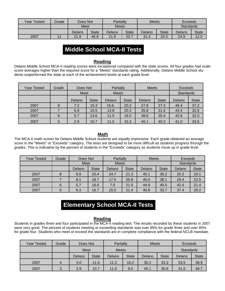| Year Tested | Grade | Does Not    |              | Partially    |              | <b>Meets</b> |              | Exceeds          |              |
|-------------|-------|-------------|--------------|--------------|--------------|--------------|--------------|------------------|--------------|
|             |       | <b>Meet</b> |              | <b>Meets</b> |              |              |              | <b>Standards</b> |              |
|             |       | Delano      | <b>State</b> | Delano       | <b>State</b> | Delano       | <b>State</b> | Delano           | <b>State</b> |
| 2007        |       | 21.9        | 46.8         | 21.9         | 20.7         | 31.4         | 20.5         | 24.9             | 12.0         |

# **Middle School MCA-II Tests**

## **Reading**

Delano Middle School MCA-II reading scores were exceptional compared with the state scores. All four grades had scale score averages higher than the required score for a "Meets" standards rating. Additionally, Delano Middle School students outperformed the state at each of the achievement levels at each grade level.

| Year Tested | Grade | Does Not |              | Partially    |              | <b>Meets</b> |              | Exceeds          |              |
|-------------|-------|----------|--------------|--------------|--------------|--------------|--------------|------------------|--------------|
|             |       | Meet     |              | <b>Meets</b> |              |              |              | <b>Standards</b> |              |
|             |       | Delano   | <b>State</b> | Delano       | <b>State</b> | Delano       | <b>State</b> | Delano           | <b>State</b> |
| 2007        | 8     | 7.2      | 15.3         | 15.6.        | 20.2         | 27.8         | 27.3         | 49.4             | 37.2         |
| 2007        |       | 6.9      | 15.5         | 13.8         | 20.3         | 35.8         | 31.6         | 43.4             | 32.6         |
| 2007        | 6     | 5.7      | 13.6         | 11.5         | 19.0         | 38.9         | 35.4         | 43.9             | 32.0         |
| 2007        | 5     | 2.9      | 10.7         | 11.0         | 15.3         | 45.1         | 40.3         | 41.0             | 33.6         |

## **Math** Service State State State State State State State State State State State State State State State State State State State State State State State State State State State State State State State State State State Sta

The MCA-II math scores for Delano Middle School students are equally impressive. Each grade obtained an average score in the "Meets" or "Exceeds" category. The tests are designed to be more difficult as students progress through the grades. This is indicative by the percent of students in the "Exceeds" category as students move up in grade level.

| Year Tested | Grade | Does Not    |              | Partially    |              | <b>Meets</b> |              | Exceeds          |              |
|-------------|-------|-------------|--------------|--------------|--------------|--------------|--------------|------------------|--------------|
|             |       | <b>Meet</b> |              | <b>Meets</b> |              |              |              | <b>Standards</b> |              |
|             |       | Delano      | <b>State</b> | Delano       | <b>State</b> | Delano       | <b>State</b> | Delano           | <b>State</b> |
| 2007        | 8     | 9.9         | 20.4         | 24.7         | 21.3         | 45.1         | 39.2         | 20.3             | 19.1         |
| 2007        |       | 8.1         | 18.7         | 17.5         | 20.8         | 45.0         | 38.1         | 29.4             | 22.5         |
| 2007        | 6     | 5.7         | 16.6         | 7.0          | 21.5         | 44.9         | 40.5         | 42.4             | 21.4         |
| 2007        | 5     | 6.3         | 16.7         | 15.5         | 21.4         | 40.8         | 33.7         | 37.4             | 28.2         |

# **Elementary School MCA-II Tests**

## **Reading**

Students in grades three and four participated in the MCA-II reading test. The results recorded by these students in 2007 were very good. The percent of students meeting or exceeding standards was over 85% for grade three and over 85% for grade four. Students who meet or exceed the standards are in complete compliance with the federal NCLB mandate.

| Year Tested | Grade | Does Not                    |              | Partially |              | <b>Meets</b> |              | Exceeds |              |
|-------------|-------|-----------------------------|--------------|-----------|--------------|--------------|--------------|---------|--------------|
|             |       | <b>Meet</b><br><b>Meets</b> |              |           |              | Standards    |              |         |              |
|             |       | Delano                      | <b>State</b> | Delano    | <b>State</b> | Delano       | <b>State</b> | Delano  | <b>State</b> |
| 2007        | 4     | 5.0                         | 11.6         | 11.3      | 16.2         | 30.2         | 33.3         | 53.5    | 38.9         |
| 2007        | 3     | 2.9                         | 10.7         | 11.0      | 9.0          | 45.1         | 30.6         | 41.0    | 49.7         |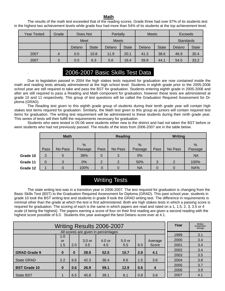## **Math Math Math**

The results of the math test exceeded that of the reading scores. Grade three had over 87% of its students test in the highest two achievement levels while grade four had more than 54% of its students at the top achievement level.

| Year Tested | Grade | Does Not |              | Partially    |              | <b>Meets</b> |              | Exceeds   |              |
|-------------|-------|----------|--------------|--------------|--------------|--------------|--------------|-----------|--------------|
|             |       | Meet     |              | <b>Meets</b> |              |              |              | Standards |              |
|             |       | Delano   | <b>State</b> | Delano       | <b>State</b> | Delano       | <b>State</b> | Delano    | <b>State</b> |
| 2007        | 4     | 0.0      | 10.8         | 11.9         | 20.1         | 41.3         | 38.6         | 46.9      | 30.4         |
| 2007        | 3     | 0.0      | 6.3          | 5.6          | 16.4         | 39.9         | 44.1         | 54.5      | 33.2         |

# 2006-2007 Basic Skills Test Data

.

Due to legislation passed in 2004 the high stakes tests required for graduation are now contained inside the math and reading tests already administered at the high school level. Students in eighth grade prior to the 2005-2006 school year are still required to take and pass the BST for graduation. Students entering eighth grade in 2005-2006 and after are still required to pass a Reading and Math component for graduation, however these tests are administered at grade 10 and 11 respectively. This group of test questions will be called the Graduation Required Assessment for Diploma (GRAD).

The Reading test given to this eighth grade group of students during their tenth grade year will contain high stakes test items required for graduation. Similarly, the Math test given to this group as juniors will contain required test items for graduation. The writing test requirement will be administered to these students during their ninth grade year. This series of tests will then fulfill the requirements necessary for graduation.

Students who were tested in 05-06 were students either new to the district and had not taken the BST before or were students who had not previously passed. The results of the tests from 2006-2007 are in the table below.

|          | <b>Math</b> |         |         |      | Reading        |           | <b>Writing</b> |         |           |  |
|----------|-------------|---------|---------|------|----------------|-----------|----------------|---------|-----------|--|
|          |             |         | %       |      |                | %         |                |         | %         |  |
|          | Pass        | No Pass | Passage | Pass | No Pass        | Passage   | Pass           | No Pass | Passage   |  |
| Grade 10 | 3           | 5       | 38%     | 0    | 3              | 0%        |                |         | <b>NA</b> |  |
| Grade 11 | 0           | 3       | 0%      | 2    | $\overline{2}$ | 50%       | 3              | 2       | 100%      |  |
| Grade 12 |             |         | 100%    |      | 0              | <b>NA</b> |                | 0       | NA%       |  |

# Writing Tests

 The state writing test was in a transition year in 2006-2007. The test required for graduation is changing from the Basic Skills Test (BST) to the Graduation Required Assessment for Diploma (GRAD). This past school year, students in grade 10 took the BST writing test and students in grade 9 took the GRAD writing test. The difference in requirements is minimal other than the grade at which the test is first administered. Both are high stakes tests in which a passing score is required for graduation. The scoring of each is the same in which papers are read and rated on a 1, 1.5, 2, 3, 3.5 or 4 scale (4 being the highest). The papers earning a score of four on their first reading are given a second reading with the highest score possible of 6.0. Students this year averaged the best Delano score ever at 4.1.

|                     | <b>Writing Results 2006-2007</b> |          |                   |                                     |          |     |         |      |     |
|---------------------|----------------------------------|----------|-------------------|-------------------------------------|----------|-----|---------|------|-----|
|                     |                                  |          |                   | All scores are given in percentages |          |     |         |      |     |
|                     | 1.0                              |          |                   |                                     |          |     |         | 1999 | 3.1 |
|                     | or                               |          | 3.0 <sub>or</sub> | $4.0$ or                            | $5.0$ or |     | Average | 2000 | 3.4 |
|                     | 1.5                              | 2.0      | 3.5               | 4.5                                 | 5.5      | 6.0 | Score   | 2001 | 3.4 |
|                     |                                  |          | 28.9              | 52.5                                | 15.7     | 2.9 |         | 2002 | 3.4 |
| <b>GRAD Grade 9</b> | $\bf{0}$                         | $\bf{0}$ |                   |                                     |          |     | 4.1     | 2003 | 3.5 |
| <b>State GRAD</b>   | 2.2                              | 6.6      | 42.3              | 38.4                                | 8.6      | 1.5 | 3.6     | 2004 | 3.8 |
| <b>BST Grade 10</b> | $\bf{0}$                         | 0.6      | 26.9              | 59.1                                | 12.9     | 0.6 | 4       | 2005 | 3.7 |
|                     |                                  |          |                   |                                     |          |     |         | 2006 | 3.9 |
| <b>State BST</b>    |                                  | 6.5      | 45.8              | 39.1                                | 6.1      | 0.8 | 3.6     | 2007 | 4.1 |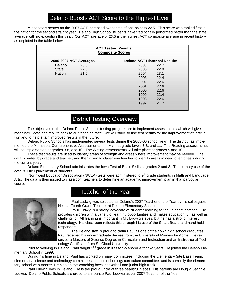# Delano Boosts ACT Score to the Highest Ever

 Minnesota's scores on the 2007 ACT increased two tenths of one point to 22.5. This score was ranked first in the nation for the second straight year. Delano High School students have traditionally performed better than the state average with no exception this year. Our ACT average of 23.5 is the highest ACT composite average in recent history as depicted in the table below.

| <b>ACT Testing Results</b><br><b>Composite Scores</b> |                                                                |      |      |  |  |  |  |  |  |
|-------------------------------------------------------|----------------------------------------------------------------|------|------|--|--|--|--|--|--|
|                                                       | <b>Delano ACT Historical Results</b><br>2006-2007 ACT Averages |      |      |  |  |  |  |  |  |
| Delano                                                | 23.5                                                           | 2006 | 22.7 |  |  |  |  |  |  |
| State                                                 | 22.5                                                           | 2005 | 22.8 |  |  |  |  |  |  |
| <b>Nation</b>                                         | 21.2                                                           | 2004 | 23.1 |  |  |  |  |  |  |
|                                                       |                                                                | 2003 | 22.4 |  |  |  |  |  |  |
|                                                       |                                                                | 2002 | 22.6 |  |  |  |  |  |  |
|                                                       |                                                                | 2001 | 22.6 |  |  |  |  |  |  |
|                                                       |                                                                | 2000 | 22.6 |  |  |  |  |  |  |
|                                                       |                                                                | 1999 | 22.4 |  |  |  |  |  |  |
|                                                       |                                                                | 1998 | 22.6 |  |  |  |  |  |  |
|                                                       |                                                                | 1997 | 21.7 |  |  |  |  |  |  |
|                                                       |                                                                |      |      |  |  |  |  |  |  |

# District Testing Overview

 The objectives of the Delano Public Schools testing program are to implement assessments which will give meaningful data and results back to our teaching staff. We will strive to use test results for the improvement of instruction and to help attain improved results in the future.

 Delano Public Schools has implemented several tests during the 2005-06 school year. The district has implemented the Minnesota Comprehensive Assessments-II in Math at grade levels 3-8, and 11. The Reading assessments will be implemented at grades 3-8, and 10. The Writing assessments will take place at grades 9 and 10.

 These test results are used to identify areas of strength and areas where improvement may be needed. The data is sorted by grade and teacher, and then given to classroom teacher to identify areas in need of emphasis during the current year.

 Delano Elementary School administrates the Iowa Test of Basic Skills at grades 2 and 3. The primary use of the data is Title I placement of students.

Northwest Education Association (NWEA) tests were administered to 9<sup>th</sup> grade students in Math and Language Arts. The data is then issued to classroom teachers to determine an academic improvement plan in that particular course.



# Teacher of the Year

 Paul Ludwig was selected as Delano's 2007 Teacher of the Year by his colleagues. He is a Fourth Grade Teacher at Delano Elementary School.

 Paul Ludwig is a strong advocate of students learning to their highest potential. He provides children with a variety of learning opportunities and makes education fun as well as challenging. All learning is important in Mr. Ludwig's eyes, but he has a strong interest in technology. His classroom reflects this through his use of the Smart Board and hand held responders.

 The Delano staff is proud to claim Paul as one of their own high school graduates. Paul received his undergraduate degree from the University of Minnesota-Morris. He received a Masters of Science Degree in Curriculum and Instruction and an Instructional Technology Certificate from St. Cloud University.

Prior to working in Delano, Paul taught 2<sup>nd</sup> grade in Kasson-Manorville for two years. He joined the Delano Elementary School in 1999.

 During his time in Delano, Paul has worked on many committees, including the Elementary Site Base Team, elementary science and technology committees, district technology curriculum committee, and is currently the elementary school web master. He also enjoys coaching boys' basketball and junior high track.

 Paul Ludwig lives in Delano. He is the proud uncle of three beautiful nieces. His parents are Doug & Jeannie Ludwig. Delano Public Schools are proud to announce Paul Ludwig as our 2007 Teacher of the Year.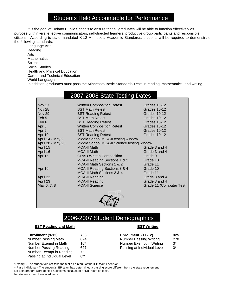# Students Held Accountable for Performance

It is the goal of Delano Public Schools to ensure that all graduates will be able to function effectively as purposeful thinkers, effective communicators, self-directed learners, productive group participants and responsible citizens. According to state-mandated K-12 Minnesota Academic Standards, students will be required to demonstrate the following standards:

 Language Arts Reading Arts **Mathematics Science**  Social Studies Health and Physical Education Career and Technical Education World Languages In addition, graduates must pass the Minnesota Basic Standards Tests in reading, mathematics, and writing.

# 2007-2008 State Testing Dates

| <b>Nov 27</b>     | <b>Written Composition Retest</b>           | Grades 10-12             |
|-------------------|---------------------------------------------|--------------------------|
| <b>Nov 28</b>     | <b>BST Math Retest</b>                      | Grades 10-12             |
| <b>Nov 29</b>     | <b>BST Reading Retest</b>                   | Grades 10-12             |
| Feb 5             | <b>BST Math Retest</b>                      | Grades 10-12             |
| Feb 6             | <b>BST Reading Retest</b>                   | Grades 10-12             |
| Apr 8             | <b>Written Composition Retest</b>           | Grades 10-12             |
| Apr 9             | <b>BST Math Retest</b>                      | Grades 10-12             |
| Apr 10            | <b>BST Reading Retest</b>                   | Grades 10-12             |
| April 14 - May 2  | Middle School MCA-II testing window         |                          |
| April 28 - May 23 | Middle School MCA-II Science testing window |                          |
| April 15          | <b>MCA-II Math</b>                          | Grade 3 and 4            |
| April 16          | <b>MCA-II Math</b>                          | Grade 3 and 4            |
| Apr 15            | <b>GRAD Written Composition</b>             | Grade 9                  |
|                   | MCA-II Reading Sections 1 & 2               | Grade 10                 |
|                   | MCA-II Math Sections 1 & 2                  | Grade 11                 |
| Apr 16            | MCA-II Reading Sections 3 & 4               | Grade 10                 |
|                   | MCA-II Math Sections 3 & 4                  | Grade 11                 |
| April 22          | MCA-II Reading                              | Grade 3 and 4            |
| April 23          | <b>MCA-II Reading</b>                       | Grade 3 and 4            |
| May 6, 7, 8       | <b>MCA-II Science</b>                       | Grade 11 (Computer Test) |
|                   |                                             |                          |



# 2006-2007 Student Demographics

## **BST Reading and Math BST Writing**

| Enrollment (9-12)           | 703      | Enrollment (11-12)            | 325   |
|-----------------------------|----------|-------------------------------|-------|
| Number Passing Math         | 624      | <b>Number Passing Writing</b> | 278   |
| Number Exempt in Math       | $10*$    | Number Exempt in Writing      | $3^*$ |
| Number Passing Reading      | 627      | Passing at Individual Level   | $0^*$ |
| Number Exempt in Reading    | 7*       |                               |       |
| Passing at Individual Level | $0^{**}$ |                               |       |

\*Exempt - The student did not take the test as a result of the IEP teams decision. \*\*Pass Individual - The student's IEP team has determined a passing score different from the state requirement. No 12th graders were denied a diploma because of a "No Pass" on tests. No students used translated tests.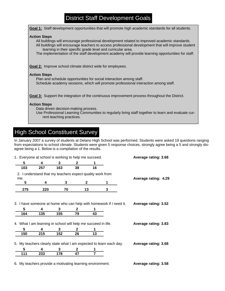# District Staff Development Goals

| Goal 1: Staff development opportunities that will promote high academic standards for all students.                                                                                                                                                                                                                                                                                             |
|-------------------------------------------------------------------------------------------------------------------------------------------------------------------------------------------------------------------------------------------------------------------------------------------------------------------------------------------------------------------------------------------------|
| <b>Action Steps</b><br>All buildings will encourage professional development related to improved academic standards.<br>All buildings will encourage teachers to access professional development that will improve student<br>learning in their specific grade level and curricular area.<br>The implementation of the staff development academy will provide learning opportunities for staff. |
| <b>Goal 2:</b> Improve school climate district wide for employees.                                                                                                                                                                                                                                                                                                                              |
| <b>Action Steps</b><br>Plan and schedule opportunities for social interaction among staff.<br>Schedule academy sessions, which will promote professional interaction among staff.                                                                                                                                                                                                               |
| <b>Goal 3:</b> Support the integration of the continuous improvement process throughout the District.                                                                                                                                                                                                                                                                                           |
| <b>Action Steps</b><br>Data driven decision-making process.<br>Use Professional Learning Communities to regularly bring staff together to learn and evaluate cur-<br>rent teaching practices.                                                                                                                                                                                                   |

# High School Constituent Survey

In January 2007 a survey of students at Delano High School was performed. Students were asked 19 questions ranging from expectations to school climate. Students were given 5 response choices, strongly agree being a 5 and strongly disagree being a 1. Below is a compilation of the results.

| 1. Everyone at school is working to help me succeed. |     |                                                               |              |    |                                                                    | Average rating: 3.68 |  |
|------------------------------------------------------|-----|---------------------------------------------------------------|--------------|----|--------------------------------------------------------------------|----------------------|--|
| 5                                                    | 4   | 3                                                             | 2            |    |                                                                    |                      |  |
| 103                                                  | 257 | 163                                                           | 38           | 16 |                                                                    |                      |  |
|                                                      |     | 2. I understand that my teachers expect quality work from     |              |    |                                                                    |                      |  |
| me.                                                  |     |                                                               |              |    |                                                                    | Average rating: 4.29 |  |
| 5                                                    | 4   | 3                                                             | $\mathbf{2}$ |    | 1                                                                  |                      |  |
| 275                                                  | 220 | 70                                                            | 13           |    | 3                                                                  |                      |  |
|                                                      |     |                                                               |              |    |                                                                    |                      |  |
|                                                      |     |                                                               |              |    |                                                                    |                      |  |
|                                                      |     |                                                               |              |    | 3. I have someone at home who can help with homework if I need it. | Average rating: 3.52 |  |
| 5                                                    | 4   | 3                                                             | 2            |    |                                                                    |                      |  |
| 164                                                  | 135 | 155                                                           | 79           | 43 |                                                                    |                      |  |
|                                                      |     | 4. What I am learning in school will help me succeed in life. |              |    |                                                                    | Average rating: 3.83 |  |
| 5                                                    | 4   | 3                                                             | 2            |    |                                                                    |                      |  |
| 150                                                  | 215 | 152                                                           | 26           | 13 |                                                                    |                      |  |
|                                                      |     |                                                               |              |    | 5. My teachers clearly state what I am expected to learn each day. | Average rating: 3.68 |  |
| 5                                                    | 4   | 3                                                             | 2            |    |                                                                    |                      |  |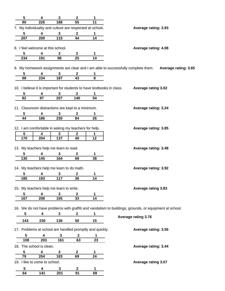| 5          | 4                                                        | 3        | $\mathbf{2}$    | 1                                                                      |                                                                                                           |
|------------|----------------------------------------------------------|----------|-----------------|------------------------------------------------------------------------|-----------------------------------------------------------------------------------------------------------|
| 90         | 226                                                      | 188      | 55              | 11                                                                     |                                                                                                           |
|            | 7. My individuality and culture are respected at school. |          |                 |                                                                        | Average rating: 3.93                                                                                      |
| 5          | 4                                                        | 3        | $\mathbf 2$     | 1                                                                      |                                                                                                           |
| 207        | 200                                                      | 115      | $\overline{44}$ | $\overline{14}$                                                        |                                                                                                           |
|            |                                                          |          |                 |                                                                        |                                                                                                           |
|            | 8. I feel welcome at this school.                        |          |                 |                                                                        | Average rating: 4.08                                                                                      |
| 5          | 4                                                        | 3        | 2               | 1                                                                      |                                                                                                           |
| 234        | 191                                                      | 98       | 25              | 14                                                                     |                                                                                                           |
|            |                                                          |          |                 |                                                                        | 9. My homework assignments are clear and I am able to successfully complete them.<br>Average rating: 3.65 |
| 5          |                                                          |          |                 |                                                                        |                                                                                                           |
| 98         | 4<br>234                                                 | 3<br>187 | 2<br>43         | 1<br>8                                                                 |                                                                                                           |
|            |                                                          |          |                 |                                                                        |                                                                                                           |
|            |                                                          |          |                 | 10. I believe it is important for students to have textbooks in class. | <b>Average rating 3.02</b>                                                                                |
| 5          | 4                                                        | 3        | $\mathbf{2}$    | 1                                                                      |                                                                                                           |
| 82         | 97                                                       | 207      | 140             | 54                                                                     |                                                                                                           |
|            |                                                          |          |                 |                                                                        |                                                                                                           |
|            | 11. Classroom distractions are kept to a minimum.        |          |                 |                                                                        | Average rating: 3.24                                                                                      |
| 5          | 4                                                        | 3        | 2               |                                                                        |                                                                                                           |
| 44         | 186                                                      | 230      | 84              | 26                                                                     |                                                                                                           |
|            |                                                          |          |                 |                                                                        |                                                                                                           |
|            | 12. I am comfortable in asking my teachers for help.     |          |                 |                                                                        | Average rating: 3.85                                                                                      |
| $\sqrt{5}$ | 4                                                        | 3        | $\mathbf 2$     | 1                                                                      |                                                                                                           |
| 170        | 204                                                      | 137      | 40              | 12                                                                     |                                                                                                           |
|            |                                                          |          |                 |                                                                        |                                                                                                           |
|            | 13. My teachers help me learn to read.                   |          |                 |                                                                        | Average rating: 3.48                                                                                      |
| 5          | 4                                                        | 3        | 2               | 1                                                                      |                                                                                                           |
| 130        | 145                                                      | 164      | 68              | 38                                                                     |                                                                                                           |
|            |                                                          |          |                 |                                                                        |                                                                                                           |
|            | 14. My teachers help me learn to do math.                |          |                 |                                                                        | <b>Average rating: 3.92</b>                                                                               |
| 5          | 4                                                        | 3        | $\mathbf 2$     | 1                                                                      |                                                                                                           |
| 185        | 193                                                      | 117      | 36              | 14                                                                     |                                                                                                           |
|            |                                                          |          |                 |                                                                        |                                                                                                           |
|            | 15. My teachers help me learn to write.                  |          |                 |                                                                        | <b>Average rating 3.83</b>                                                                                |
| 5          | 4                                                        | 3        | 2               | 1                                                                      |                                                                                                           |
| 167        | 208                                                      | 155      | 33              | 14                                                                     |                                                                                                           |
|            |                                                          |          |                 |                                                                        |                                                                                                           |
|            |                                                          |          |                 |                                                                        | 16. We do not have problems with graffiti and vandalism to buildings, grounds, or equipment at school.    |
| 5          | 4                                                        | 3        | $\mathbf{2}$    | 1                                                                      |                                                                                                           |
| 143        | 230                                                      | 136      | 50              | 15                                                                     | <b>Average rating 3.76</b>                                                                                |
|            |                                                          |          |                 |                                                                        |                                                                                                           |
|            |                                                          |          |                 | 17. Problems at school are handled promptly and quickly.               | Average rating: 3.56                                                                                      |
| 5          | 4                                                        | 3        | $\mathbf{2}$    | 1                                                                      |                                                                                                           |
| 108        | 203                                                      | 161      | 63              | 23                                                                     |                                                                                                           |
|            | 18. The school is clean.                                 |          |                 |                                                                        | Average rating: 3.44                                                                                      |
| 5          | 4                                                        | 3        | $\mathbf 2$     | 1                                                                      |                                                                                                           |
| 79         | 204                                                      | 183      | 69              | 24                                                                     |                                                                                                           |
|            | 19. I like to come to school.                            |          |                 |                                                                        | Average rating 3.07                                                                                       |
|            |                                                          |          |                 |                                                                        |                                                                                                           |
| 5          | 4                                                        | 3        | 2               | 1                                                                      |                                                                                                           |
| 64         | 141                                                      | 201      | 91              | 69                                                                     |                                                                                                           |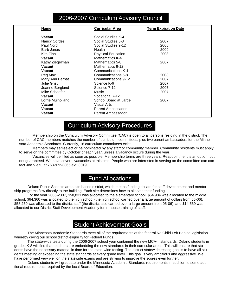# 2006-2007 Curriculum Advisory Council

| <b>Name</b>       | <b>Curricular Area</b>    | <b>Term Expiration Date</b> |
|-------------------|---------------------------|-----------------------------|
| <b>Vacant</b>     | Social Studies K-4        |                             |
| Nancy Cordes      | Social Studies 5-8        | 2007                        |
| Paul Nord         | Social Studies 9-12       | 2008                        |
| Barb Janas        | Health                    | 2009                        |
| Kim Finn          | <b>Physical Education</b> | 2008                        |
| Vacant            | Mathematics K-4           |                             |
| Kathy Ziegelman   | Mathematics 5-8           | 2007                        |
| Vacant            | Mathematics 9-12          |                             |
| Vacant            | Communications K-4        |                             |
| Peg Max           | Communications 5-8        | 2008                        |
| Mary Ann Bernat   | Communications 9-12       | 2007                        |
| Julie Grist       | Science K-6               | 2007                        |
| Jeanne Berglund   | Science 7-12              | 2007                        |
| Mike Schaefer     | Music                     | 2007                        |
| <b>Vacant</b>     | Vocational 7-12           |                             |
| Lorrie Mulholland | School Board at Large     | 2007                        |
| <b>Vacant</b>     | Visual Arts               |                             |
| <b>Vacant</b>     | Parent Ambassador         |                             |
| Vacant            | Parent Ambassador         |                             |

# Curriculum Advisory Procedures

 Membership on the Curriculum Advisory Committee (CAC) is open to all persons residing in the district. The number of CAC members matches the number of curriculum committees, plus two parent ambassadors for the Minnesota Academic Standards. Currently, 16 curriculum committees exist.

 Members may self-select or be nominated by any staff or community member. Community residents must apply to serve on the committee by October of each year, unless a vacancy occurs during the year.

 Vacancies will be filled as soon as possible. Membership terms are three years. Reappointment is an option, but not guaranteed. We have several vacancies at this time. People who are interested in serving on the committee can contact Joe Vieau at 763-972-3365 ext. 3019.

# Fund Allocations

 Delano Public Schools are a site based district, which means funding dollars for staff development and mentorship programs flow directly to the building. Each site determines how to allocate their funding.

 For the year 2006-2007, \$58,831 was allocated to the elementary school; \$54,984 was allocated to the middle school; \$64,360 was allocated to the high school (the high school carried over a large amount of dollars from 05-06): \$58,250 was allocated to the district staff (the district also carried over a large amount from 05-06); and \$14,559 was allocated to our District Staff Development Academy for in-house training of staff.

# Student Achievement Goals

The Minnesota Academic Standards meet all of the requirements of the federal No Child Left Behind legislation whereby giving our school district eligibility for Federal Funds.

 The state-wide tests during the 2006-2007 school year contained the new MCA-II standards. Delano students in grades K-8 will find that teachers are embedding the new standards in their curricular areas. This will ensure that students have the necessary material in time for the state-wide testing. The district statewide testing goal is to have all students meeting or exceeding the state standards at every grade level. This goal is very ambitious and aggressive. We have performed very well on the statewide exams and are striving to improve the scores even further.

 Delano students will graduate under the Minnesota Academic Standards requirements in addition to some additional requirements required by the local Board of Education.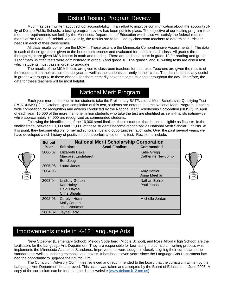# District Testing Program Review

 Much has been written about school accountability. In an effort to improve communication about the accountability of Delano Public Schools, a testing program review has been put into place. The objective of our testing program is to meet the requirements set forth by the Minnesota Department of Education which also will satisfy the federal requirements of No Child Left Behind. Additionally, the results are to be used by classroom teachers to determine curricular needs in each of their classrooms.

All data results come from the MCA-II. These tests are the Minnesota Comprehensive Assessments II. The data in each of those grades is given to the homeroom teacher and evaluated for needs in each class. All grades three through eight are given MCA-II tests in math and reading. There are additional tests in grade 10 for reading and grade 11 for math. Written tests were administered in grade 5 and grade 10. The grade 9 and 10 writing tests are also a test which students must pass in order to graduate.

The results of the MCA-II tests are given to classroom teachers for their use. Teachers are given the results of the students from their classroom last year as well as the students currently in their class. The data is particularly useful in grades 4 through 6. In these classes, teachers primarily have the same students throughout the day. Therefore, the data for these teachers will be most helpful.

# National Merit Program

 Each year more than one million students take the Preliminary SAT/National Merit Scholarship Qualifying Test (PSAT/NMSQT) in October. Upon completion of this test, students are entered into the National Merit Program, a nationwide competition for recognition and awards conducted by the National Merit Scholarship Corporation (NMSC). In April of each year, 16,000 of the more than one million students who take the test are identified as semi-finalists nationwide, while approximately 34,000 are recognized as commended students.

 Following the identification of the 16,000 semi-finalists, these students then become eligible as finalists. In the finalist stage, between 10,000 and 11,000 of these students become recognized as National Merit Scholar Finalists. At this point, they become eligible for myriad scholarships and opportunities nationwide. Over the past several years, we have developed a rich history of positive student performance on this test. Recipients include:

|                       | <b>National Merit Scholarship Corporation</b>                                    |                       |                                                |  |  |  |
|-----------------------|----------------------------------------------------------------------------------|-----------------------|------------------------------------------------|--|--|--|
| <b>School</b><br>Year | <b>Scholars</b>                                                                  | <b>Semi-Finalists</b> | <b>Commended</b>                               |  |  |  |
| 2006-07               | Elizabeth Dake<br>Margaret Englehardt<br>Ben Zeug                                |                       | <b>Katie Gregg</b><br><b>Catherine Newcomb</b> |  |  |  |
| 2005-06               | Laura Janas                                                                      |                       |                                                |  |  |  |
| 2004-05               |                                                                                  |                       | Amy Bohler<br>Anna Meehan                      |  |  |  |
| 2003-04               | <b>Lindsay Gorton</b><br><b>Kari Haley</b><br>Heidi Hayes<br><b>Chris Shouts</b> |                       | Nathan Bohler<br>Paul Janas                    |  |  |  |
| 2002-03               | <b>Carolyn Hurst</b><br>Molly Jordan<br>Jake Workman                             |                       | Michelle Jordan                                |  |  |  |
| 2001-02               | Jayne Lady                                                                       |                       |                                                |  |  |  |



# Improvements made in K-12 Language Arts

Neva Stoebner (Elementary School), Melody Soderberg (Middle School), and Ross Alford (High School) are the facilitators for the Language Arts Department. They are responsible for facilitating the curriculum writing process which implements the Minnesota Academic Standards. Improvements were sought in closely aligning their curricular to the standards as well as updating textbooks and novels. It has been seven years since the Language Arts Department has had the opportunity to upgrade their curriculum.

 The Curriculum Advisory Committee reviewed and recommended to the board that the curriculum written by the Language Arts Department be approved. This action was taken and accepted by the Board of Education in June 2006. A copy of the curriculum can be found at the district website (www.delano.k12.mn.us)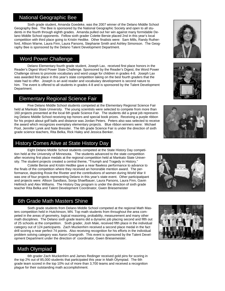## National Geographic Bee

 Sixth grade student, Amanda Goedeke, was the 2007 winner of the Delano Middle School Geography Bee. The Bee is sponsored by the National Geographic Society and open to all students in the fourth through eighth grades. Amanda pulled out her win against many formidable Delano Middle School opponents. Fellow sixth grader Colette Bersie placed 2nd in this year's local competition with third place going to Kristin Hedtke. Other finalists were: Sam Mills, Randy Rutherford, Allison Warne, Laura Finn, Laura Parsons, Stephanie Smith and Ashley Simonson. The Geography Bee is sponsored by the Delano Talent Development Department.

## Word Power Challenge

Delano Elementary fourth grade student, Joseph Lax, received first place honors in the Reader's Digest Word Power State Challenge. Sponsored by the Reader's Digest, the Word Power Challenge strives to promote vocabulary and word usage for children in grades 4-8. Joseph Lax was awarded first place in this year's state competition taking on the best fourth graders that the state had to offer. Joseph is an avid reader and vocabulary development is second nature to him. The event is offered to all students in grades 4-8 and is sponsored by the Talent Development Department.

## Elementary Regional Science Fair

Five Delano Middle School students competed at the Elementary Regional Science Fair held at Mankato State University. The young scientists were selected to compete from more than 160 projects presented at the local 6th grade Science Fair. The students did a great job representing Delano Middle School receiving top honors and special book prizes. Receiving a purple ribbon for his project about golf balls and distance was Jordan Peters. Peters also was selected to receive the award which recognizes exemplary elementary projects. Blue ribbon winners were: Michael Pool, Jennifer Lyrek and Nate Bressler. The 6th grade Science Fair is under the direction of sixth grade science teachers, Rita Belka, Rick Haley and Jessica Benker.

## History Comes Alive at State History Day

Eight Delano Middle School students competed at the State History Day competition held at the University of Minnesota. The students advanced to the state competition after receiving first place medals at the regional competition held at Mankato State University. The student projects created a central theme, "Triumph and Tragedy in History."

 Colette Bersie and Kristin Hedtke gave a near flawless performance to advance to the finals of the competition where they received an honorable mention award. The performance, depicting Rosie the Riveter and the contributions of women during World War II was one of four projects representing Delano in this year's state event. Other participatipant and projects were: Allison Sandlass, Sonja Shaefbauer, Laura Parsons, Laura Finn, Gavin Hellmich and Alex Williams. The History Day program is under the direction of sixth grade teacher Rita Belka and Talent Development Coordinator, Gwen Briesemeister

## 6th Grade Math Masters Shine

 Sixth grade students from Delano Middle School competed at the regional Math Masters competition held in Hutchinson, MN. Top math students from throughout the area competed in the areas of geometry, logical reasoning, probability, measurement and many other math disciplines. The Delano sixth grade teams did a dynamic job placing second and fifth out of 25 schools at the competition. Sixth grader, Josh Maki, received fifth place in the individual category out of 124 participants. Zach Muckenhirn received a second place medal in the fact drill scoring a near perfect 74 points. Also receiving recognition for his efforts in the individual problem solving category was Aaron Grangroth. This event is sponsored by the Talent Development Department under the direction of coordinator, Gwen Briesemeister.

## Math Olympiad

 6th grader Zach Muckenhirn and James Redinger received gold pins for scoring in the top 2% out of 85,000 students that participated this year in Math Olympiad. The 6th grade team scored in the top 10% out of more than 3,700 teams and received a recognition plague for their outstanding math accomplishment.









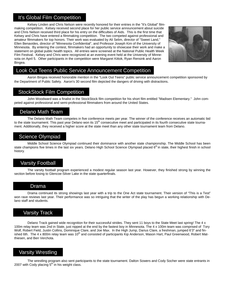## It's Global Film Competition

 Kelsey Linden and Chris Nelson were recently honored for their entries in the "It's Global" filmmaking competition. Kelsey received second place for her public service announcement about suicide and Chris Nelson received third place for his entry on the difficulties of Aids. This is the first time that Kelsey and Chris have entered a filmmaking competition. The two competed against professional and amateur filmmakers for top honors. Their work was evaluated by Ali Selim, director of "Sweet Land," Ellen Benavides, director of "Minnesota Confidential", and Professor Joseph Kim of the University of Minnesota. By entering the contest, filmmakers had an opportunity to showcase their work and make a statement on global public health topics. All entries were screened at the National Public Health Week Film Festival. Kelsey and Chris were recognized at an evening event held at the University of Minnesota on April 5. Other participants in the competition were Margaret Kittok, Ryan Rensink and Aaron Bingea.



## Look Out Teens Public Service Announcement Competition

 Aaron Bingea received honorable mention in the "Look Out Teens" public service announcement competition sponsored by the Department of Public Safety. Aaron's 30 second film depicted the dangers of driving with distractions.

## StockStock Film Competition

 John Woodward was a finalist in the StockStock film competition for his short film entitled "Madisen Elementary." John competed against professional and semi-professional filmmakers from around the United States.

## Delano Math Team

 The Delano Math Team competes in five conference meets per year. The winner of the conference receives an automatic bid to the state tournament. This past year Delano won its  $15<sup>th</sup>$  consecutive meet and participated in its fourth consecutive state tournament. Additionally, they received a higher score at the state meet than any other state tournament team from Delano.

## Science Olympiad

 Middle School Science Olympiad continued their dominance with another state championship. The Middle School has been state champions five times in the last six years. Delano High School Science Olympiad placed 6<sup>th</sup> in state, their highest finish in school history.

## Varsity Football

 The varsity football program experienced a modest regular season last year. However, they finished strong by winning the section before losing to Glencoe-Silver Lake in the state quarterfinals.

## Drama

 Drama continued its strong showings last year with a trip to the One Act state tournament. Their version of "This is a Test" won rave reviews last year. Their performance was so intriguing that the writer of the play has begun a working relationship with Delano staff and students.

## Varsity Track

 Delano Track gained wide recognition for their successful strides. They sent 11 boys to the State Meet last spring! The 4 x 100m relay team was 2nd in State, just nipped at the end by the fastest boy in Minnesota. The 4 x 100m team was comprised of Tory Wolf, Robert Field, Justin Collins, Dominique Clare, and Joe Max. In the High Jump, Darius Clare, a freshman, jumped 6'3" and finished 6th. The 4 x 800m relay team was 10<sup>th</sup> and consisted of participants Kip Anderson, Mason Hart, Paul Greenwood, Robert Matthiesen, and Ben Verchota.

## Varsity Wrestling

 The wrestling program also sent participants to the state tournament. Dalton Sowers and Cody Socher were state entrants in 2007 with Cody placing  $5<sup>th</sup>$  in his weight class.